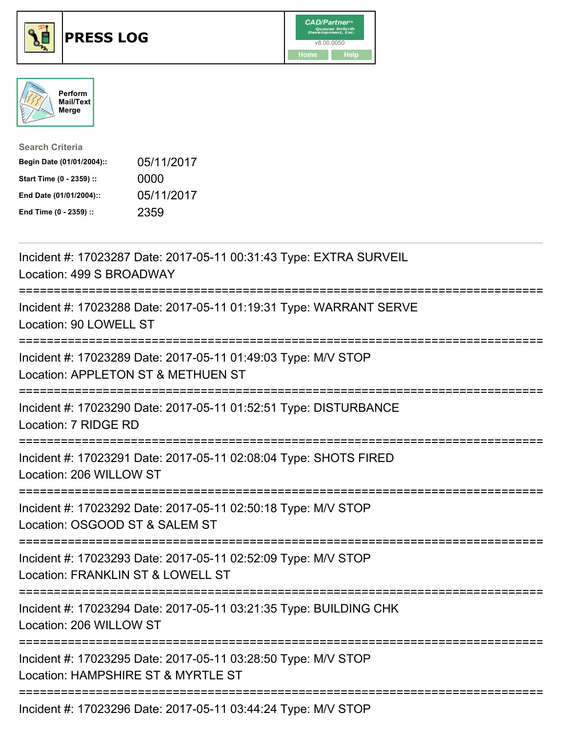





| <b>Search Criteria</b>    |            |
|---------------------------|------------|
| Begin Date (01/01/2004):: | 05/11/2017 |
| Start Time (0 - 2359) ::  | 0000       |
| End Date (01/01/2004)::   | 05/11/2017 |
| End Time (0 - 2359) ::    | 2359       |

| Incident #: 17023287 Date: 2017-05-11 00:31:43 Type: EXTRA SURVEIL<br>Location: 499 S BROADWAY                       |
|----------------------------------------------------------------------------------------------------------------------|
| Incident #: 17023288 Date: 2017-05-11 01:19:31 Type: WARRANT SERVE<br>Location: 90 LOWELL ST                         |
| Incident #: 17023289 Date: 2017-05-11 01:49:03 Type: M/V STOP<br>Location: APPLETON ST & METHUEN ST                  |
| Incident #: 17023290 Date: 2017-05-11 01:52:51 Type: DISTURBANCE<br>Location: 7 RIDGE RD                             |
| Incident #: 17023291 Date: 2017-05-11 02:08:04 Type: SHOTS FIRED<br>Location: 206 WILLOW ST                          |
| Incident #: 17023292 Date: 2017-05-11 02:50:18 Type: M/V STOP<br>Location: OSGOOD ST & SALEM ST                      |
| Incident #: 17023293 Date: 2017-05-11 02:52:09 Type: M/V STOP<br>Location: FRANKLIN ST & LOWELL ST<br>-----------    |
| Incident #: 17023294 Date: 2017-05-11 03:21:35 Type: BUILDING CHK<br>Location: 206 WILLOW ST<br>-------------------- |
| Incident #: 17023295 Date: 2017-05-11 03:28:50 Type: M/V STOP<br>Location: HAMPSHIRE ST & MYRTLE ST                  |
| Incident #: 17023296 Date: 2017-05-11 03:44:24 Type: M/V STOP                                                        |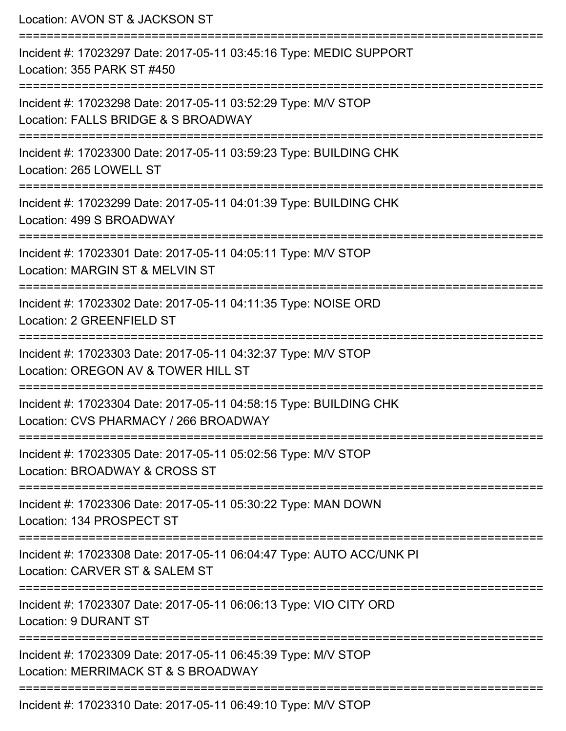| Location: AVON ST & JACKSON ST                                                                                           |
|--------------------------------------------------------------------------------------------------------------------------|
| Incident #: 17023297 Date: 2017-05-11 03:45:16 Type: MEDIC SUPPORT<br>Location: 355 PARK ST #450<br>:=================== |
| Incident #: 17023298 Date: 2017-05-11 03:52:29 Type: M/V STOP<br>Location: FALLS BRIDGE & S BROADWAY                     |
| Incident #: 17023300 Date: 2017-05-11 03:59:23 Type: BUILDING CHK<br>Location: 265 LOWELL ST                             |
| Incident #: 17023299 Date: 2017-05-11 04:01:39 Type: BUILDING CHK<br>Location: 499 S BROADWAY                            |
| Incident #: 17023301 Date: 2017-05-11 04:05:11 Type: M/V STOP<br>Location: MARGIN ST & MELVIN ST                         |
| Incident #: 17023302 Date: 2017-05-11 04:11:35 Type: NOISE ORD<br>Location: 2 GREENFIELD ST                              |
| Incident #: 17023303 Date: 2017-05-11 04:32:37 Type: M/V STOP<br>Location: OREGON AV & TOWER HILL ST                     |
| Incident #: 17023304 Date: 2017-05-11 04:58:15 Type: BUILDING CHK<br>Location: CVS PHARMACY / 266 BROADWAY               |
| Incident #: 17023305 Date: 2017-05-11 05:02:56 Type: M/V STOP<br>Location: BROADWAY & CROSS ST                           |
| Incident #: 17023306 Date: 2017-05-11 05:30:22 Type: MAN DOWN<br>Location: 134 PROSPECT ST                               |
| Incident #: 17023308 Date: 2017-05-11 06:04:47 Type: AUTO ACC/UNK PI<br>Location: CARVER ST & SALEM ST                   |
| Incident #: 17023307 Date: 2017-05-11 06:06:13 Type: VIO CITY ORD<br><b>Location: 9 DURANT ST</b>                        |
| Incident #: 17023309 Date: 2017-05-11 06:45:39 Type: M/V STOP<br>Location: MERRIMACK ST & S BROADWAY                     |
| Incident #: 17023310 Date: 2017-05-11 06:49:10 Type: M/V STOP                                                            |

Incident #: 17023310 Date: 2017-05-11 06:49:10 Type: M/V STOP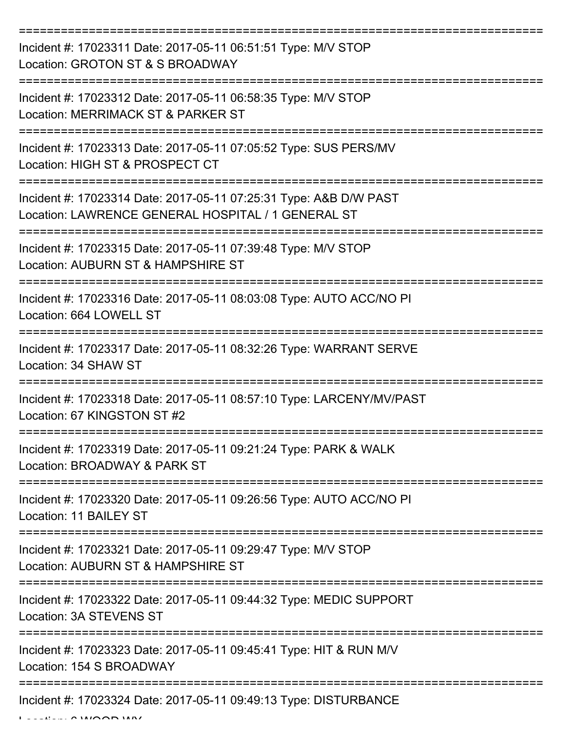| Incident #: 17023311 Date: 2017-05-11 06:51:51 Type: M/V STOP<br>Location: GROTON ST & S BROADWAY                          |
|----------------------------------------------------------------------------------------------------------------------------|
| Incident #: 17023312 Date: 2017-05-11 06:58:35 Type: M/V STOP<br>Location: MERRIMACK ST & PARKER ST                        |
| Incident #: 17023313 Date: 2017-05-11 07:05:52 Type: SUS PERS/MV<br>Location: HIGH ST & PROSPECT CT                        |
| Incident #: 17023314 Date: 2017-05-11 07:25:31 Type: A&B D/W PAST<br>Location: LAWRENCE GENERAL HOSPITAL / 1 GENERAL ST    |
| Incident #: 17023315 Date: 2017-05-11 07:39:48 Type: M/V STOP<br>Location: AUBURN ST & HAMPSHIRE ST<br>=================== |
| Incident #: 17023316 Date: 2017-05-11 08:03:08 Type: AUTO ACC/NO PI<br>Location: 664 LOWELL ST                             |
| Incident #: 17023317 Date: 2017-05-11 08:32:26 Type: WARRANT SERVE<br>Location: 34 SHAW ST                                 |
| Incident #: 17023318 Date: 2017-05-11 08:57:10 Type: LARCENY/MV/PAST<br>Location: 67 KINGSTON ST #2                        |
| Incident #: 17023319 Date: 2017-05-11 09:21:24 Type: PARK & WALK<br>Location: BROADWAY & PARK ST                           |
| Incident #: 17023320 Date: 2017-05-11 09:26:56 Type: AUTO ACC/NO PI<br>Location: 11 BAILEY ST                              |
| Incident #: 17023321 Date: 2017-05-11 09:29:47 Type: M/V STOP<br>Location: AUBURN ST & HAMPSHIRE ST                        |
| Incident #: 17023322 Date: 2017-05-11 09:44:32 Type: MEDIC SUPPORT<br>Location: 3A STEVENS ST                              |
| Incident #: 17023323 Date: 2017-05-11 09:45:41 Type: HIT & RUN M/V<br>Location: 154 S BROADWAY                             |
| Incident #: 17023324 Date: 2017-05-11 09:49:13 Type: DISTURBANCE                                                           |

 $L = LL = L \cdot \mathbf{A}$  WOOD WAY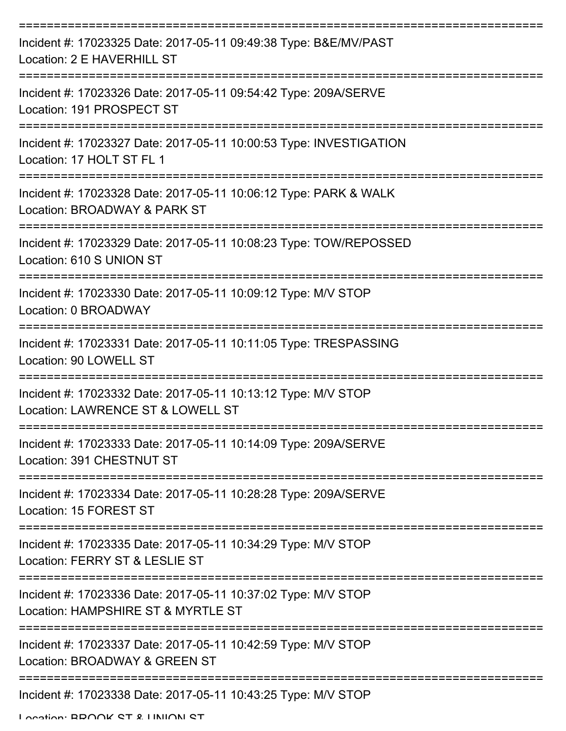| Incident #: 17023325 Date: 2017-05-11 09:49:38 Type: B&E/MV/PAST<br>Location: 2 E HAVERHILL ST      |
|-----------------------------------------------------------------------------------------------------|
| Incident #: 17023326 Date: 2017-05-11 09:54:42 Type: 209A/SERVE<br>Location: 191 PROSPECT ST        |
| Incident #: 17023327 Date: 2017-05-11 10:00:53 Type: INVESTIGATION<br>Location: 17 HOLT ST FL 1     |
| Incident #: 17023328 Date: 2017-05-11 10:06:12 Type: PARK & WALK<br>Location: BROADWAY & PARK ST    |
| Incident #: 17023329 Date: 2017-05-11 10:08:23 Type: TOW/REPOSSED<br>Location: 610 S UNION ST       |
| Incident #: 17023330 Date: 2017-05-11 10:09:12 Type: M/V STOP<br>Location: 0 BROADWAY               |
| Incident #: 17023331 Date: 2017-05-11 10:11:05 Type: TRESPASSING<br>Location: 90 LOWELL ST          |
| Incident #: 17023332 Date: 2017-05-11 10:13:12 Type: M/V STOP<br>Location: LAWRENCE ST & LOWELL ST  |
| Incident #: 17023333 Date: 2017-05-11 10:14:09 Type: 209A/SERVE<br>Location: 391 CHESTNUT ST        |
| Incident #: 17023334 Date: 2017-05-11 10:28:28 Type: 209A/SERVE<br>Location: 15 FOREST ST           |
| Incident #: 17023335 Date: 2017-05-11 10:34:29 Type: M/V STOP<br>Location: FERRY ST & LESLIE ST     |
| Incident #: 17023336 Date: 2017-05-11 10:37:02 Type: M/V STOP<br>Location: HAMPSHIRE ST & MYRTLE ST |
| Incident #: 17023337 Date: 2017-05-11 10:42:59 Type: M/V STOP<br>Location: BROADWAY & GREEN ST      |
| Incident #: 17023338 Date: 2017-05-11 10:43:25 Type: M/V STOP                                       |

Location: BDOOK ST & HINION ST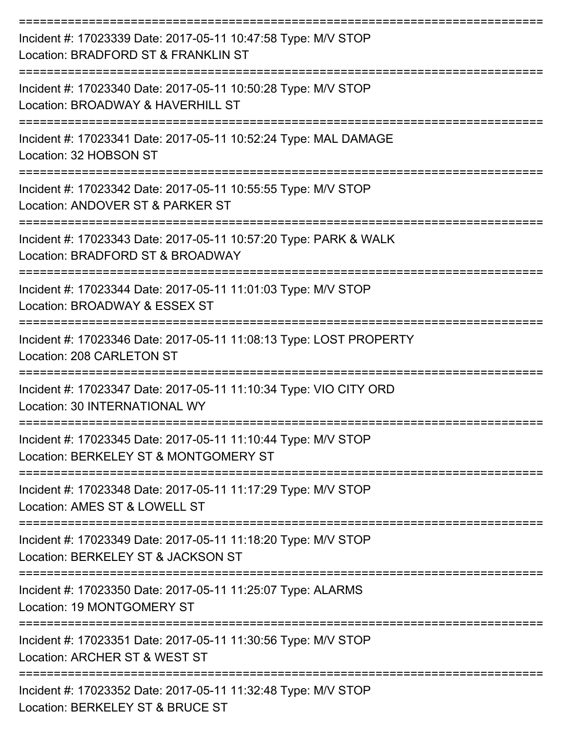| Incident #: 17023339 Date: 2017-05-11 10:47:58 Type: M/V STOP<br>Location: BRADFORD ST & FRANKLIN ST               |
|--------------------------------------------------------------------------------------------------------------------|
| Incident #: 17023340 Date: 2017-05-11 10:50:28 Type: M/V STOP<br>Location: BROADWAY & HAVERHILL ST                 |
| Incident #: 17023341 Date: 2017-05-11 10:52:24 Type: MAL DAMAGE<br>Location: 32 HOBSON ST                          |
| Incident #: 17023342 Date: 2017-05-11 10:55:55 Type: M/V STOP<br>Location: ANDOVER ST & PARKER ST                  |
| Incident #: 17023343 Date: 2017-05-11 10:57:20 Type: PARK & WALK<br>Location: BRADFORD ST & BROADWAY               |
| Incident #: 17023344 Date: 2017-05-11 11:01:03 Type: M/V STOP<br>Location: BROADWAY & ESSEX ST                     |
| Incident #: 17023346 Date: 2017-05-11 11:08:13 Type: LOST PROPERTY<br>Location: 208 CARLETON ST                    |
| :===========<br>Incident #: 17023347 Date: 2017-05-11 11:10:34 Type: VIO CITY ORD<br>Location: 30 INTERNATIONAL WY |
| Incident #: 17023345 Date: 2017-05-11 11:10:44 Type: M/V STOP<br>Location: BERKELEY ST & MONTGOMERY ST             |
| Incident #: 17023348 Date: 2017-05-11 11:17:29 Type: M/V STOP<br>Location: AMES ST & LOWELL ST                     |
| Incident #: 17023349 Date: 2017-05-11 11:18:20 Type: M/V STOP<br>Location: BERKELEY ST & JACKSON ST                |
| Incident #: 17023350 Date: 2017-05-11 11:25:07 Type: ALARMS<br>Location: 19 MONTGOMERY ST                          |
| Incident #: 17023351 Date: 2017-05-11 11:30:56 Type: M/V STOP<br>Location: ARCHER ST & WEST ST                     |
| Incident #: 17023352 Date: 2017-05-11 11:32:48 Type: M/V STOP<br>Location: BERKELEY ST & BRUCE ST                  |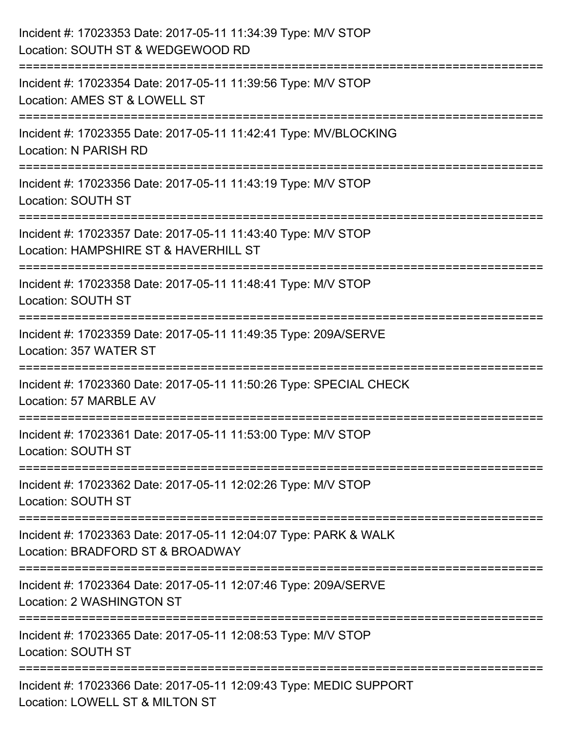| Incident #: 17023353 Date: 2017-05-11 11:34:39 Type: M/V STOP<br>Location: SOUTH ST & WEDGEWOOD RD                                  |
|-------------------------------------------------------------------------------------------------------------------------------------|
| ------------------------------<br>Incident #: 17023354 Date: 2017-05-11 11:39:56 Type: M/V STOP<br>Location: AMES ST & LOWELL ST    |
| Incident #: 17023355 Date: 2017-05-11 11:42:41 Type: MV/BLOCKING<br>Location: N PARISH RD                                           |
| Incident #: 17023356 Date: 2017-05-11 11:43:19 Type: M/V STOP<br>Location: SOUTH ST                                                 |
| Incident #: 17023357 Date: 2017-05-11 11:43:40 Type: M/V STOP<br>Location: HAMPSHIRE ST & HAVERHILL ST<br>========================= |
| Incident #: 17023358 Date: 2017-05-11 11:48:41 Type: M/V STOP<br><b>Location: SOUTH ST</b>                                          |
| Incident #: 17023359 Date: 2017-05-11 11:49:35 Type: 209A/SERVE<br>Location: 357 WATER ST<br>==================================     |
| Incident #: 17023360 Date: 2017-05-11 11:50:26 Type: SPECIAL CHECK<br>Location: 57 MARBLE AV                                        |
| Incident #: 17023361 Date: 2017-05-11 11:53:00 Type: M/V STOP<br>Location: SOUTH ST                                                 |
| Incident #: 17023362 Date: 2017-05-11 12:02:26 Type: M/V STOP<br><b>Location: SOUTH ST</b>                                          |
| Incident #: 17023363 Date: 2017-05-11 12:04:07 Type: PARK & WALK<br>Location: BRADFORD ST & BROADWAY                                |
| Incident #: 17023364 Date: 2017-05-11 12:07:46 Type: 209A/SERVE<br>Location: 2 WASHINGTON ST                                        |
| Incident #: 17023365 Date: 2017-05-11 12:08:53 Type: M/V STOP<br>Location: SOUTH ST                                                 |
| Incident #: 17023366 Date: 2017-05-11 12:09:43 Type: MEDIC SUPPORT<br>Location: LOWELL ST & MILTON ST                               |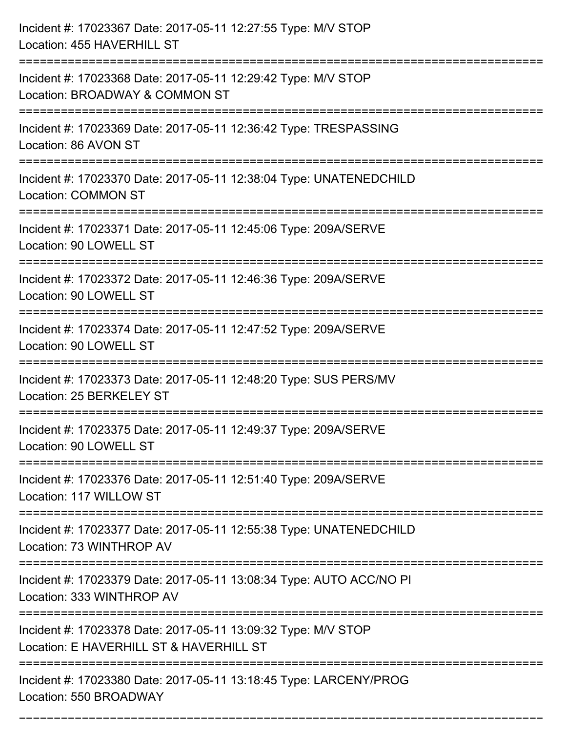| Incident #: 17023367 Date: 2017-05-11 12:27:55 Type: M/V STOP<br>Location: 455 HAVERHILL ST                                         |
|-------------------------------------------------------------------------------------------------------------------------------------|
| Incident #: 17023368 Date: 2017-05-11 12:29:42 Type: M/V STOP<br>Location: BROADWAY & COMMON ST                                     |
| Incident #: 17023369 Date: 2017-05-11 12:36:42 Type: TRESPASSING<br>Location: 86 AVON ST                                            |
| Incident #: 17023370 Date: 2017-05-11 12:38:04 Type: UNATENEDCHILD<br><b>Location: COMMON ST</b>                                    |
| Incident #: 17023371 Date: 2017-05-11 12:45:06 Type: 209A/SERVE<br>Location: 90 LOWELL ST                                           |
| Incident #: 17023372 Date: 2017-05-11 12:46:36 Type: 209A/SERVE<br>Location: 90 LOWELL ST                                           |
| Incident #: 17023374 Date: 2017-05-11 12:47:52 Type: 209A/SERVE<br>Location: 90 LOWELL ST                                           |
| Incident #: 17023373 Date: 2017-05-11 12:48:20 Type: SUS PERS/MV<br>Location: 25 BERKELEY ST                                        |
| Incident #: 17023375 Date: 2017-05-11 12:49:37 Type: 209A/SERVE<br>Location: 90 LOWELL ST                                           |
| Incident #: 17023376 Date: 2017-05-11 12:51:40 Type: 209A/SERVE<br>Location: 117 WILLOW ST                                          |
| Incident #: 17023377 Date: 2017-05-11 12:55:38 Type: UNATENEDCHILD<br>Location: 73 WINTHROP AV                                      |
| Incident #: 17023379 Date: 2017-05-11 13:08:34 Type: AUTO ACC/NO PI<br>Location: 333 WINTHROP AV                                    |
| =======================<br>Incident #: 17023378 Date: 2017-05-11 13:09:32 Type: M/V STOP<br>Location: E HAVERHILL ST & HAVERHILL ST |
| Incident #: 17023380 Date: 2017-05-11 13:18:45 Type: LARCENY/PROG<br>Location: 550 BROADWAY                                         |

===========================================================================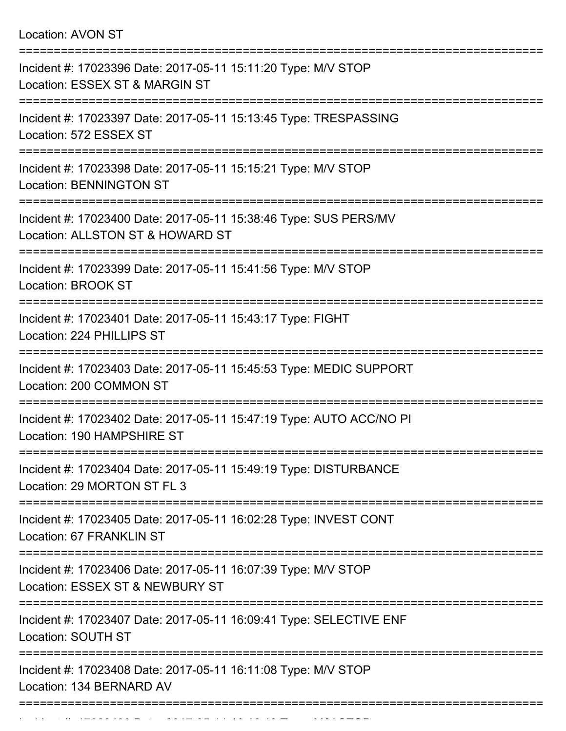Location: AVON ST

| Incident #: 17023396 Date: 2017-05-11 15:11:20 Type: M/V STOP<br>Location: ESSEX ST & MARGIN ST            |
|------------------------------------------------------------------------------------------------------------|
| Incident #: 17023397 Date: 2017-05-11 15:13:45 Type: TRESPASSING<br>Location: 572 ESSEX ST                 |
| Incident #: 17023398 Date: 2017-05-11 15:15:21 Type: M/V STOP<br><b>Location: BENNINGTON ST</b>            |
| Incident #: 17023400 Date: 2017-05-11 15:38:46 Type: SUS PERS/MV<br>Location: ALLSTON ST & HOWARD ST       |
| Incident #: 17023399 Date: 2017-05-11 15:41:56 Type: M/V STOP<br><b>Location: BROOK ST</b><br>------------ |
| Incident #: 17023401 Date: 2017-05-11 15:43:17 Type: FIGHT<br>Location: 224 PHILLIPS ST                    |
| Incident #: 17023403 Date: 2017-05-11 15:45:53 Type: MEDIC SUPPORT<br>Location: 200 COMMON ST              |
| Incident #: 17023402 Date: 2017-05-11 15:47:19 Type: AUTO ACC/NO PI<br>Location: 190 HAMPSHIRE ST          |
| Incident #: 17023404 Date: 2017-05-11 15:49:19 Type: DISTURBANCE<br>Location: 29 MORTON ST FL 3            |
| Incident #: 17023405 Date: 2017-05-11 16:02:28 Type: INVEST CONT<br>Location: 67 FRANKLIN ST               |
| Incident #: 17023406 Date: 2017-05-11 16:07:39 Type: M/V STOP<br>Location: ESSEX ST & NEWBURY ST           |
| Incident #: 17023407 Date: 2017-05-11 16:09:41 Type: SELECTIVE ENF<br>Location: SOUTH ST                   |
| Incident #: 17023408 Date: 2017-05-11 16:11:08 Type: M/V STOP<br>Location: 134 BERNARD AV                  |
| -----------------------------------                                                                        |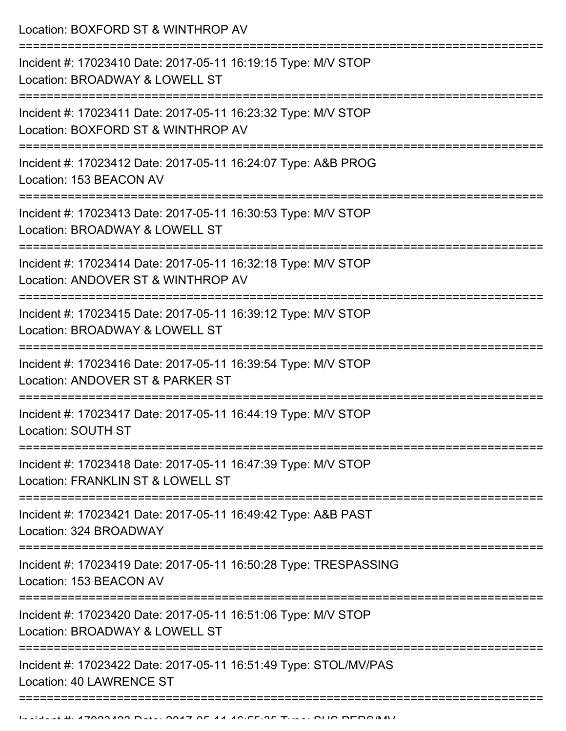Location: BOXFORD ST & WINTHROP AV

| Incident #: 17023410 Date: 2017-05-11 16:19:15 Type: M/V STOP<br>Location: BROADWAY & LOWELL ST     |
|-----------------------------------------------------------------------------------------------------|
| Incident #: 17023411 Date: 2017-05-11 16:23:32 Type: M/V STOP<br>Location: BOXFORD ST & WINTHROP AV |
| Incident #: 17023412 Date: 2017-05-11 16:24:07 Type: A&B PROG<br>Location: 153 BEACON AV            |
| Incident #: 17023413 Date: 2017-05-11 16:30:53 Type: M/V STOP<br>Location: BROADWAY & LOWELL ST     |
| Incident #: 17023414 Date: 2017-05-11 16:32:18 Type: M/V STOP<br>Location: ANDOVER ST & WINTHROP AV |
| Incident #: 17023415 Date: 2017-05-11 16:39:12 Type: M/V STOP<br>Location: BROADWAY & LOWELL ST     |
| Incident #: 17023416 Date: 2017-05-11 16:39:54 Type: M/V STOP<br>Location: ANDOVER ST & PARKER ST   |
| Incident #: 17023417 Date: 2017-05-11 16:44:19 Type: M/V STOP<br>Location: SOUTH ST                 |
| Incident #: 17023418 Date: 2017-05-11 16:47:39 Type: M/V STOP<br>Location: FRANKLIN ST & LOWELL ST  |
| Incident #: 17023421 Date: 2017-05-11 16:49:42 Type: A&B PAST<br>Location: 324 BROADWAY             |
| Incident #: 17023419 Date: 2017-05-11 16:50:28 Type: TRESPASSING<br>Location: 153 BEACON AV         |
| Incident #: 17023420 Date: 2017-05-11 16:51:06 Type: M/V STOP<br>Location: BROADWAY & LOWELL ST     |
| Incident #: 17023422 Date: 2017-05-11 16:51:49 Type: STOL/MV/PAS<br>Location: 40 LAWRENCE ST        |
|                                                                                                     |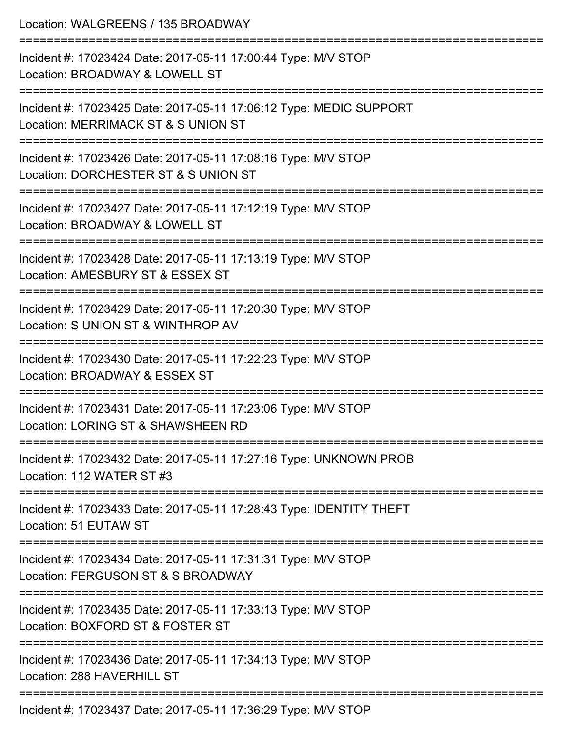| Location: WALGREENS / 135 BROADWAY                                                                                        |
|---------------------------------------------------------------------------------------------------------------------------|
| Incident #: 17023424 Date: 2017-05-11 17:00:44 Type: M/V STOP<br>Location: BROADWAY & LOWELL ST                           |
| Incident #: 17023425 Date: 2017-05-11 17:06:12 Type: MEDIC SUPPORT<br>Location: MERRIMACK ST & S UNION ST                 |
| Incident #: 17023426 Date: 2017-05-11 17:08:16 Type: M/V STOP<br>Location: DORCHESTER ST & S UNION ST                     |
| ----------------------<br>Incident #: 17023427 Date: 2017-05-11 17:12:19 Type: M/V STOP<br>Location: BROADWAY & LOWELL ST |
| Incident #: 17023428 Date: 2017-05-11 17:13:19 Type: M/V STOP<br>Location: AMESBURY ST & ESSEX ST                         |
| Incident #: 17023429 Date: 2017-05-11 17:20:30 Type: M/V STOP<br>Location: S UNION ST & WINTHROP AV                       |
| Incident #: 17023430 Date: 2017-05-11 17:22:23 Type: M/V STOP<br>Location: BROADWAY & ESSEX ST                            |
| Incident #: 17023431 Date: 2017-05-11 17:23:06 Type: M/V STOP<br>Location: LORING ST & SHAWSHEEN RD                       |
| Incident #: 17023432 Date: 2017-05-11 17:27:16 Type: UNKNOWN PROB<br>Location: 112 WATER ST #3                            |
| Incident #: 17023433 Date: 2017-05-11 17:28:43 Type: IDENTITY THEFT<br>Location: 51 EUTAW ST                              |
| Incident #: 17023434 Date: 2017-05-11 17:31:31 Type: M/V STOP<br>Location: FERGUSON ST & S BROADWAY                       |
| Incident #: 17023435 Date: 2017-05-11 17:33:13 Type: M/V STOP<br>Location: BOXFORD ST & FOSTER ST                         |
| Incident #: 17023436 Date: 2017-05-11 17:34:13 Type: M/V STOP<br>Location: 288 HAVERHILL ST                               |
|                                                                                                                           |

Incident #: 17023437 Date: 2017-05-11 17:36:29 Type: M/V STOP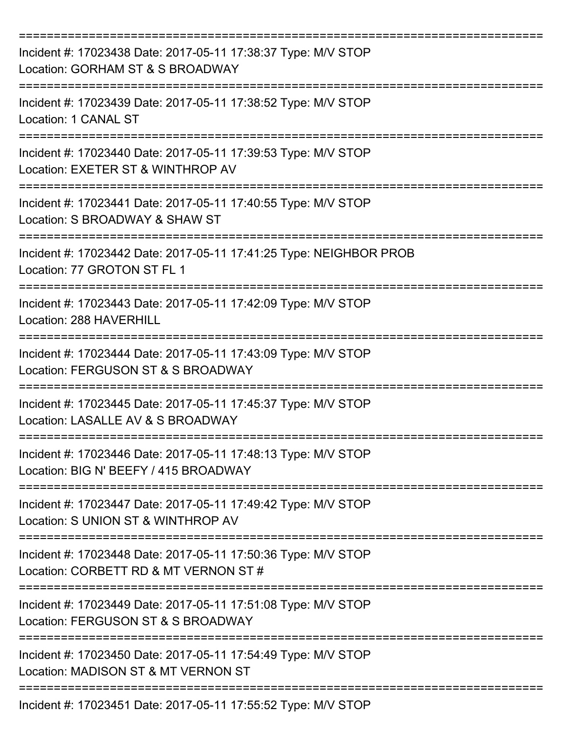| Incident #: 17023438 Date: 2017-05-11 17:38:37 Type: M/V STOP<br>Location: GORHAM ST & S BROADWAY      |
|--------------------------------------------------------------------------------------------------------|
| Incident #: 17023439 Date: 2017-05-11 17:38:52 Type: M/V STOP<br>Location: 1 CANAL ST                  |
| Incident #: 17023440 Date: 2017-05-11 17:39:53 Type: M/V STOP<br>Location: EXETER ST & WINTHROP AV     |
| Incident #: 17023441 Date: 2017-05-11 17:40:55 Type: M/V STOP<br>Location: S BROADWAY & SHAW ST        |
| Incident #: 17023442 Date: 2017-05-11 17:41:25 Type: NEIGHBOR PROB<br>Location: 77 GROTON ST FL 1      |
| Incident #: 17023443 Date: 2017-05-11 17:42:09 Type: M/V STOP<br>Location: 288 HAVERHILL               |
| Incident #: 17023444 Date: 2017-05-11 17:43:09 Type: M/V STOP<br>Location: FERGUSON ST & S BROADWAY    |
| Incident #: 17023445 Date: 2017-05-11 17:45:37 Type: M/V STOP<br>Location: LASALLE AV & S BROADWAY     |
| Incident #: 17023446 Date: 2017-05-11 17:48:13 Type: M/V STOP<br>Location: BIG N' BEEFY / 415 BROADWAY |
| Incident #: 17023447 Date: 2017-05-11 17:49:42 Type: M/V STOP<br>Location: S UNION ST & WINTHROP AV    |
| Incident #: 17023448 Date: 2017-05-11 17:50:36 Type: M/V STOP<br>Location: CORBETT RD & MT VERNON ST # |
| Incident #: 17023449 Date: 2017-05-11 17:51:08 Type: M/V STOP<br>Location: FERGUSON ST & S BROADWAY    |
| Incident #: 17023450 Date: 2017-05-11 17:54:49 Type: M/V STOP<br>Location: MADISON ST & MT VERNON ST   |
| Incident #: 17023451 Date: 2017-05-11 17:55:52 Type: M/V STOP                                          |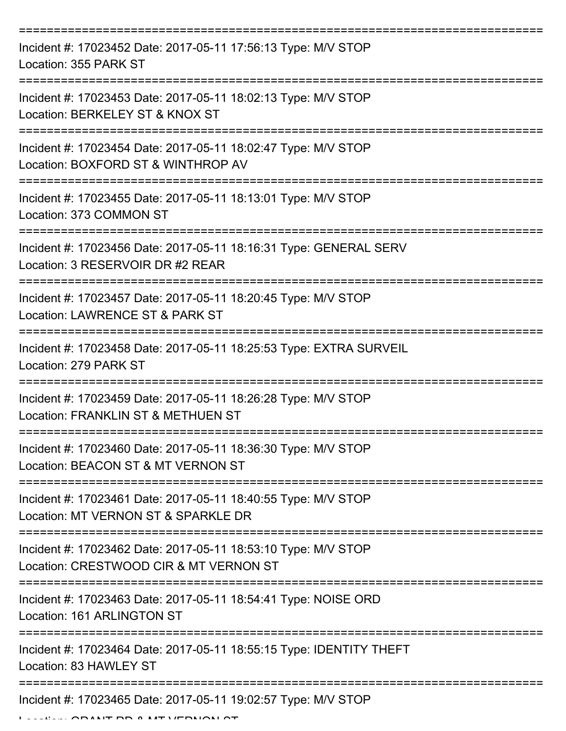| Incident #: 17023452 Date: 2017-05-11 17:56:13 Type: M/V STOP<br>Location: 355 PARK ST                  |
|---------------------------------------------------------------------------------------------------------|
| Incident #: 17023453 Date: 2017-05-11 18:02:13 Type: M/V STOP<br>Location: BERKELEY ST & KNOX ST        |
| Incident #: 17023454 Date: 2017-05-11 18:02:47 Type: M/V STOP<br>Location: BOXFORD ST & WINTHROP AV     |
| Incident #: 17023455 Date: 2017-05-11 18:13:01 Type: M/V STOP<br>Location: 373 COMMON ST                |
| Incident #: 17023456 Date: 2017-05-11 18:16:31 Type: GENERAL SERV<br>Location: 3 RESERVOIR DR #2 REAR   |
| Incident #: 17023457 Date: 2017-05-11 18:20:45 Type: M/V STOP<br>Location: LAWRENCE ST & PARK ST        |
| Incident #: 17023458 Date: 2017-05-11 18:25:53 Type: EXTRA SURVEIL<br>Location: 279 PARK ST             |
| Incident #: 17023459 Date: 2017-05-11 18:26:28 Type: M/V STOP<br>Location: FRANKLIN ST & METHUEN ST     |
| Incident #: 17023460 Date: 2017-05-11 18:36:30 Type: M/V STOP<br>Location: BEACON ST & MT VERNON ST     |
| Incident #: 17023461 Date: 2017-05-11 18:40:55 Type: M/V STOP<br>Location: MT VERNON ST & SPARKLE DR    |
| Incident #: 17023462 Date: 2017-05-11 18:53:10 Type: M/V STOP<br>Location: CRESTWOOD CIR & MT VERNON ST |
| Incident #: 17023463 Date: 2017-05-11 18:54:41 Type: NOISE ORD<br>Location: 161 ARLINGTON ST            |
| Incident #: 17023464 Date: 2017-05-11 18:55:15 Type: IDENTITY THEFT<br>Location: 83 HAWLEY ST           |
| Incident #: 17023465 Date: 2017-05-11 19:02:57 Type: M/V STOP                                           |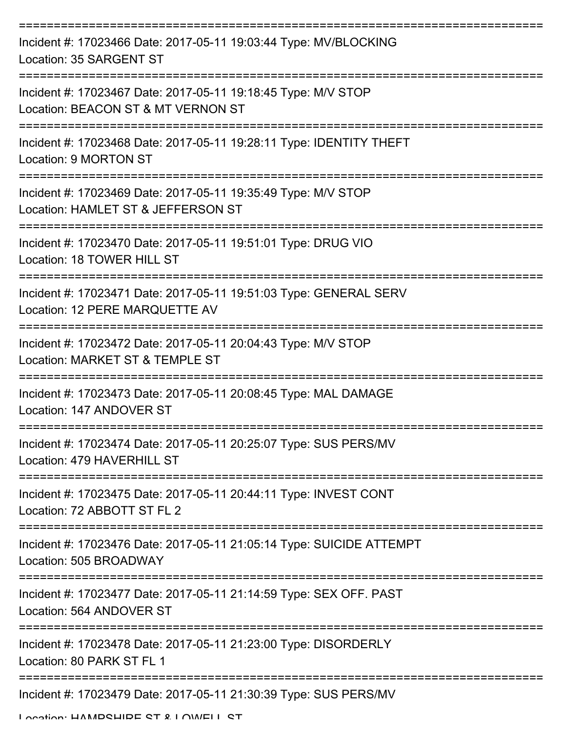| Incident #: 17023466 Date: 2017-05-11 19:03:44 Type: MV/BLOCKING<br>Location: 35 SARGENT ST                                  |
|------------------------------------------------------------------------------------------------------------------------------|
| Incident #: 17023467 Date: 2017-05-11 19:18:45 Type: M/V STOP<br>Location: BEACON ST & MT VERNON ST                          |
| Incident #: 17023468 Date: 2017-05-11 19:28:11 Type: IDENTITY THEFT<br>Location: 9 MORTON ST                                 |
| Incident #: 17023469 Date: 2017-05-11 19:35:49 Type: M/V STOP<br>Location: HAMLET ST & JEFFERSON ST                          |
| Incident #: 17023470 Date: 2017-05-11 19:51:01 Type: DRUG VIO<br>Location: 18 TOWER HILL ST                                  |
| Incident #: 17023471 Date: 2017-05-11 19:51:03 Type: GENERAL SERV<br>Location: 12 PERE MARQUETTE AV                          |
| Incident #: 17023472 Date: 2017-05-11 20:04:43 Type: M/V STOP<br>Location: MARKET ST & TEMPLE ST                             |
| Incident #: 17023473 Date: 2017-05-11 20:08:45 Type: MAL DAMAGE<br>Location: 147 ANDOVER ST                                  |
| Incident #: 17023474 Date: 2017-05-11 20:25:07 Type: SUS PERS/MV<br>Location: 479 HAVERHILL ST                               |
| Incident #: 17023475 Date: 2017-05-11 20:44:11 Type: INVEST CONT<br>Location: 72 ABBOTT ST FL 2                              |
| ==========================<br>Incident #: 17023476 Date: 2017-05-11 21:05:14 Type: SUICIDE ATTEMPT<br>Location: 505 BROADWAY |
| Incident #: 17023477 Date: 2017-05-11 21:14:59 Type: SEX OFF. PAST<br>Location: 564 ANDOVER ST                               |
| Incident #: 17023478 Date: 2017-05-11 21:23:00 Type: DISORDERLY<br>Location: 80 PARK ST FL 1                                 |
| Incident #: 17023479 Date: 2017-05-11 21:30:39 Type: SUS PERS/MV                                                             |

Location: HAMPSHIRE ST & LOWELL ST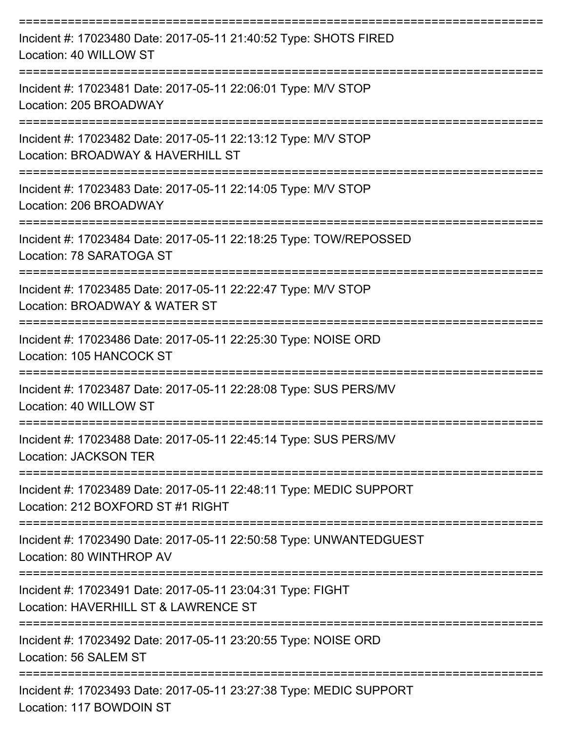| Incident #: 17023480 Date: 2017-05-11 21:40:52 Type: SHOTS FIRED<br>Location: 40 WILLOW ST                                      |
|---------------------------------------------------------------------------------------------------------------------------------|
| Incident #: 17023481 Date: 2017-05-11 22:06:01 Type: M/V STOP<br>Location: 205 BROADWAY                                         |
| Incident #: 17023482 Date: 2017-05-11 22:13:12 Type: M/V STOP<br>Location: BROADWAY & HAVERHILL ST                              |
| Incident #: 17023483 Date: 2017-05-11 22:14:05 Type: M/V STOP<br>Location: 206 BROADWAY                                         |
| Incident #: 17023484 Date: 2017-05-11 22:18:25 Type: TOW/REPOSSED<br>Location: 78 SARATOGA ST                                   |
| Incident #: 17023485 Date: 2017-05-11 22:22:47 Type: M/V STOP<br>Location: BROADWAY & WATER ST                                  |
| Incident #: 17023486 Date: 2017-05-11 22:25:30 Type: NOISE ORD<br>Location: 105 HANCOCK ST                                      |
| Incident #: 17023487 Date: 2017-05-11 22:28:08 Type: SUS PERS/MV<br>Location: 40 WILLOW ST                                      |
| Incident #: 17023488 Date: 2017-05-11 22:45:14 Type: SUS PERS/MV<br><b>Location: JACKSON TER</b>                                |
| :===================<br>Incident #: 17023489 Date: 2017-05-11 22:48:11 Type: MEDIC SUPPORT<br>Location: 212 BOXFORD ST #1 RIGHT |
| Incident #: 17023490 Date: 2017-05-11 22:50:58 Type: UNWANTEDGUEST<br>Location: 80 WINTHROP AV                                  |
| Incident #: 17023491 Date: 2017-05-11 23:04:31 Type: FIGHT<br>Location: HAVERHILL ST & LAWRENCE ST                              |
| Incident #: 17023492 Date: 2017-05-11 23:20:55 Type: NOISE ORD<br>Location: 56 SALEM ST                                         |
| Incident #: 17023493 Date: 2017-05-11 23:27:38 Type: MEDIC SUPPORT<br>Location: 117 BOWDOIN ST                                  |